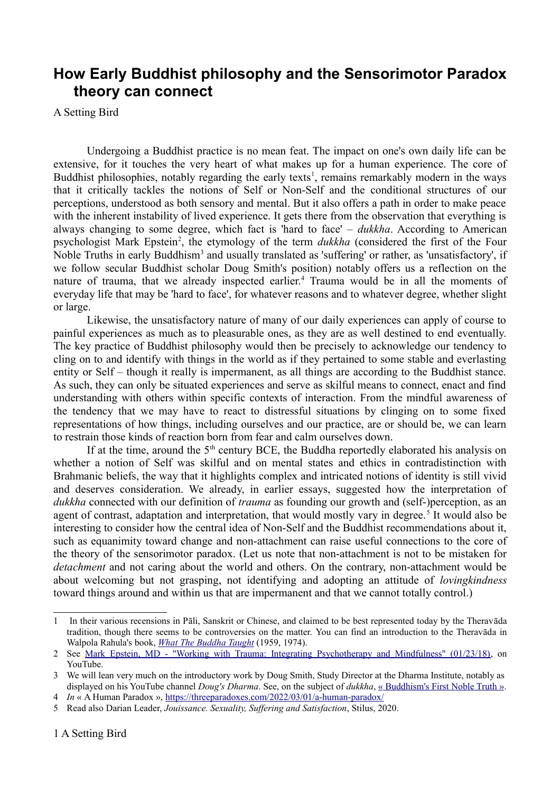## **How Early Buddhist philosophy and the Sensorimotor Paradox theory can connect**

A Setting Bird

Undergoing a Buddhist practice is no mean feat. The impact on one's own daily life can be extensive, for it touches the very heart of what makes up for a human experience. The core of Buddhist philosophies, notably regarding the early texts<sup>[1](#page-0-0)</sup>, remains remarkably modern in the ways that it critically tackles the notions of Self or Non-Self and the conditional structures of our perceptions, understood as both sensory and mental. But it also offers a path in order to make peace with the inherent instability of lived experience. It gets there from the observation that everything is always changing to some degree, which fact is 'hard to face' – *dukkha*. According to American psychologist Mark Epstein<sup>[2](#page-0-1)</sup>, the etymology of the term *dukkha* (considered the first of the Four Noble Truths in early Buddhism<sup>[3](#page-0-2)</sup> and usually translated as 'suffering' or rather, as 'unsatisfactory', if we follow secular Buddhist scholar Doug Smith's position) notably offers us a reflection on the nature of trauma, that we already inspected earlier.<sup>[4](#page-0-3)</sup> Trauma would be in all the moments of everyday life that may be 'hard to face', for whatever reasons and to whatever degree, whether slight or large.

Likewise, the unsatisfactory nature of many of our daily experiences can apply of course to painful experiences as much as to pleasurable ones, as they are as well destined to end eventually. The key practice of Buddhist philosophy would then be precisely to acknowledge our tendency to cling on to and identify with things in the world as if they pertained to some stable and everlasting entity or Self – though it really is impermanent, as all things are according to the Buddhist stance. As such, they can only be situated experiences and serve as skilful means to connect, enact and find understanding with others within specific contexts of interaction. From the mindful awareness of the tendency that we may have to react to distressful situations by clinging on to some fixed representations of how things, including ourselves and our practice, are or should be, we can learn to restrain those kinds of reaction born from fear and calm ourselves down.

If at the time, around the  $5<sup>th</sup>$  century BCE, the Buddha reportedly elaborated his analysis on whether a notion of Self was skilful and on mental states and ethics in contradistinction with Brahmanic beliefs, the way that it highlights complex and intricated notions of identity is still vivid and deserves consideration. We already, in earlier essays, suggested how the interpretation of *dukkha* connected with our definition of *trauma* as founding our growth and (self-)perception, as an agent of contrast, adaptation and interpretation, that would mostly vary in degree.<sup>[5](#page-0-4)</sup> It would also be interesting to consider how the central idea of Non-Self and the Buddhist recommendations about it, such as equanimity toward change and non-attachment can raise useful connections to the core of the theory of the sensorimotor paradox. (Let us note that non-attachment is not to be mistaken for *detachment* and not caring about the world and others. On the contrary, non-attachment would be about welcoming but not grasping, not identifying and adopting an attitude of *lovingkindness* toward things around and within us that are impermanent and that we cannot totally control.)

<span id="page-0-0"></span><sup>1</sup> In their various recensions in Pāli, Sanskrit or Chinese, and claimed to be best represented today by the Theravāda tradition, though there seems to be controversies on the matter. You can find an introduction to the Theravāda in Walpola Rahula's book, *[What The Buddha Taught](http://www.ahandfulofleaves.org/documents/What%20the%20Buddha%20Taught_Rahula.pdf)* (1959, 1974).

<span id="page-0-1"></span><sup>2</sup> See [Mark Epstein, MD - "Working with Trauma: Integrating Psychotherapy and Mindfulness" \(01/23/18\),](https://youtu.be/bJuWsiBQnZI) on YouTube.

<span id="page-0-2"></span><sup>3</sup> We will lean very much on the introductory work by Doug Smith, Study Director at the Dharma Institute, notably as displayed on his YouTube channel *Doug's Dharma*. See, on the subject of *dukkha*, [« Buddhism's First Noble Truth](https://youtu.be/ZhS-IX2CVl8) ».

<span id="page-0-3"></span><sup>4</sup> *In* « A Human Paradox »,<https://threeparadoxes.com/2022/03/01/a-human-paradox/>

<span id="page-0-4"></span><sup>5</sup> Read also Darian Leader, *Jouissance. Sexuality, Suffering and Satisfaction*, Stilus, 2020.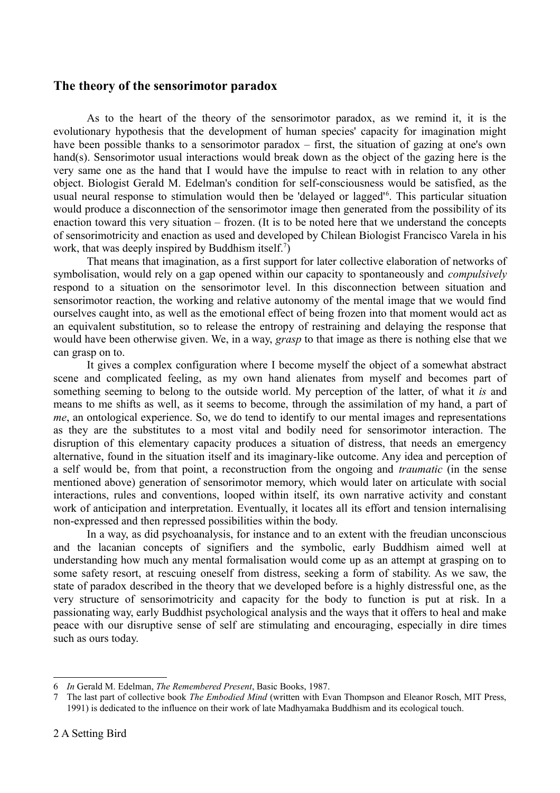## **The theory of the sensorimotor paradox**

As to the heart of the theory of the sensorimotor paradox, as we remind it, it is the evolutionary hypothesis that the development of human species' capacity for imagination might have been possible thanks to a sensorimotor paradox – first, the situation of gazing at one's own hand(s). Sensorimotor usual interactions would break down as the object of the gazing here is the very same one as the hand that I would have the impulse to react with in relation to any other object. Biologist Gerald M. Edelman's condition for self-consciousness would be satisfied, as the usual neural response to stimulation would then be 'delayed or lagged'<sup>[6](#page-1-0)</sup>. This particular situation would produce a disconnection of the sensorimotor image then generated from the possibility of its enaction toward this very situation – frozen. (It is to be noted here that we understand the concepts of sensorimotricity and enaction as used and developed by Chilean Biologist Francisco Varela in his work, that was deeply inspired by Buddhism itself.<sup>[7](#page-1-1)</sup>)

That means that imagination, as a first support for later collective elaboration of networks of symbolisation, would rely on a gap opened within our capacity to spontaneously and *compulsively* respond to a situation on the sensorimotor level. In this disconnection between situation and sensorimotor reaction, the working and relative autonomy of the mental image that we would find ourselves caught into, as well as the emotional effect of being frozen into that moment would act as an equivalent substitution, so to release the entropy of restraining and delaying the response that would have been otherwise given. We, in a way, *grasp* to that image as there is nothing else that we can grasp on to.

It gives a complex configuration where I become myself the object of a somewhat abstract scene and complicated feeling, as my own hand alienates from myself and becomes part of something seeming to belong to the outside world. My perception of the latter, of what it *is* and means to me shifts as well, as it seems to become, through the assimilation of my hand, a part of *me*, an ontological experience. So, we do tend to identify to our mental images and representations as they are the substitutes to a most vital and bodily need for sensorimotor interaction. The disruption of this elementary capacity produces a situation of distress, that needs an emergency alternative, found in the situation itself and its imaginary-like outcome. Any idea and perception of a self would be, from that point, a reconstruction from the ongoing and *traumatic* (in the sense mentioned above) generation of sensorimotor memory, which would later on articulate with social interactions, rules and conventions, looped within itself, its own narrative activity and constant work of anticipation and interpretation. Eventually, it locates all its effort and tension internalising non-expressed and then repressed possibilities within the body.

In a way, as did psychoanalysis, for instance and to an extent with the freudian unconscious and the lacanian concepts of signifiers and the symbolic, early Buddhism aimed well at understanding how much any mental formalisation would come up as an attempt at grasping on to some safety resort, at rescuing oneself from distress, seeking a form of stability. As we saw, the state of paradox described in the theory that we developed before is a highly distressful one, as the very structure of sensorimotricity and capacity for the body to function is put at risk. In a passionating way, early Buddhist psychological analysis and the ways that it offers to heal and make peace with our disruptive sense of self are stimulating and encouraging, especially in dire times such as ours today.

<span id="page-1-0"></span><sup>6</sup> *In* Gerald M. Edelman, *The Remembered Present*, Basic Books, 1987.

<span id="page-1-1"></span><sup>7</sup> The last part of collective book *The Embodied Mind* (written with Evan Thompson and Eleanor Rosch, MIT Press, 1991) is dedicated to the influence on their work of late Madhyamaka Buddhism and its ecological touch.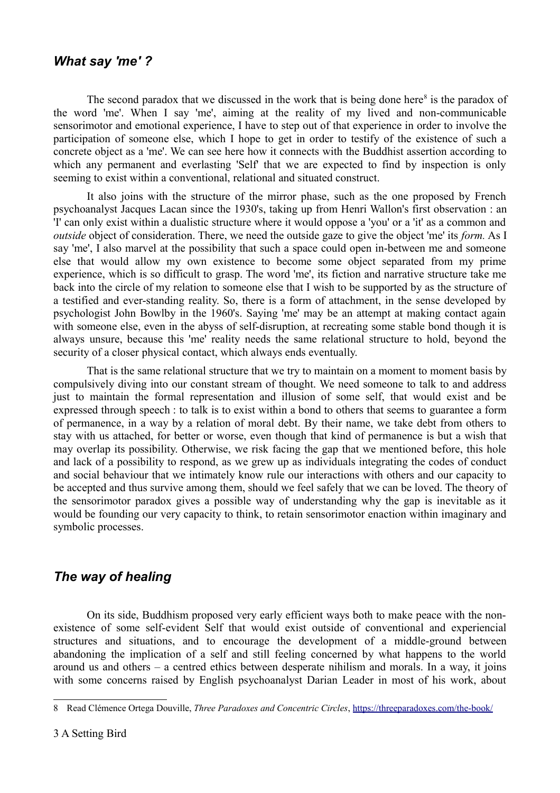## *What say 'me' ?*

The second paradox that we discussed in the work that is being done here<sup>[8](#page-2-0)</sup> is the paradox of the word 'me'. When I say 'me', aiming at the reality of my lived and non-communicable sensorimotor and emotional experience, I have to step out of that experience in order to involve the participation of someone else, which I hope to get in order to testify of the existence of such a concrete object as a 'me'. We can see here how it connects with the Buddhist assertion according to which any permanent and everlasting 'Self' that we are expected to find by inspection is only seeming to exist within a conventional, relational and situated construct.

It also joins with the structure of the mirror phase, such as the one proposed by French psychoanalyst Jacques Lacan since the 1930's, taking up from Henri Wallon's first observation : an 'I' can only exist within a dualistic structure where it would oppose a 'you' or a 'it' as a common and *outside* object of consideration. There, we need the outside gaze to give the object 'me' its *form.* As I say 'me', I also marvel at the possibility that such a space could open in-between me and someone else that would allow my own existence to become some object separated from my prime experience, which is so difficult to grasp. The word 'me', its fiction and narrative structure take me back into the circle of my relation to someone else that I wish to be supported by as the structure of a testified and ever-standing reality. So, there is a form of attachment, in the sense developed by psychologist John Bowlby in the 1960's. Saying 'me' may be an attempt at making contact again with someone else, even in the abyss of self-disruption, at recreating some stable bond though it is always unsure, because this 'me' reality needs the same relational structure to hold, beyond the security of a closer physical contact, which always ends eventually.

That is the same relational structure that we try to maintain on a moment to moment basis by compulsively diving into our constant stream of thought. We need someone to talk to and address just to maintain the formal representation and illusion of some self, that would exist and be expressed through speech : to talk is to exist within a bond to others that seems to guarantee a form of permanence, in a way by a relation of moral debt. By their name, we take debt from others to stay with us attached, for better or worse, even though that kind of permanence is but a wish that may overlap its possibility. Otherwise, we risk facing the gap that we mentioned before, this hole and lack of a possibility to respond, as we grew up as individuals integrating the codes of conduct and social behaviour that we intimately know rule our interactions with others and our capacity to be accepted and thus survive among them, should we feel safely that we can be loved. The theory of the sensorimotor paradox gives a possible way of understanding why the gap is inevitable as it would be founding our very capacity to think, to retain sensorimotor enaction within imaginary and symbolic processes.

## *The way of healing*

On its side, Buddhism proposed very early efficient ways both to make peace with the nonexistence of some self-evident Self that would exist outside of conventional and experiencial structures and situations, and to encourage the development of a middle-ground between abandoning the implication of a self and still feeling concerned by what happens to the world around us and others – a centred ethics between desperate nihilism and morals. In a way, it joins with some concerns raised by English psychoanalyst Darian Leader in most of his work, about

<span id="page-2-0"></span><sup>8</sup> Read Clémence Ortega Douville, *Three Paradoxes and Concentric Circles*,<https://threeparadoxes.com/the-book/>